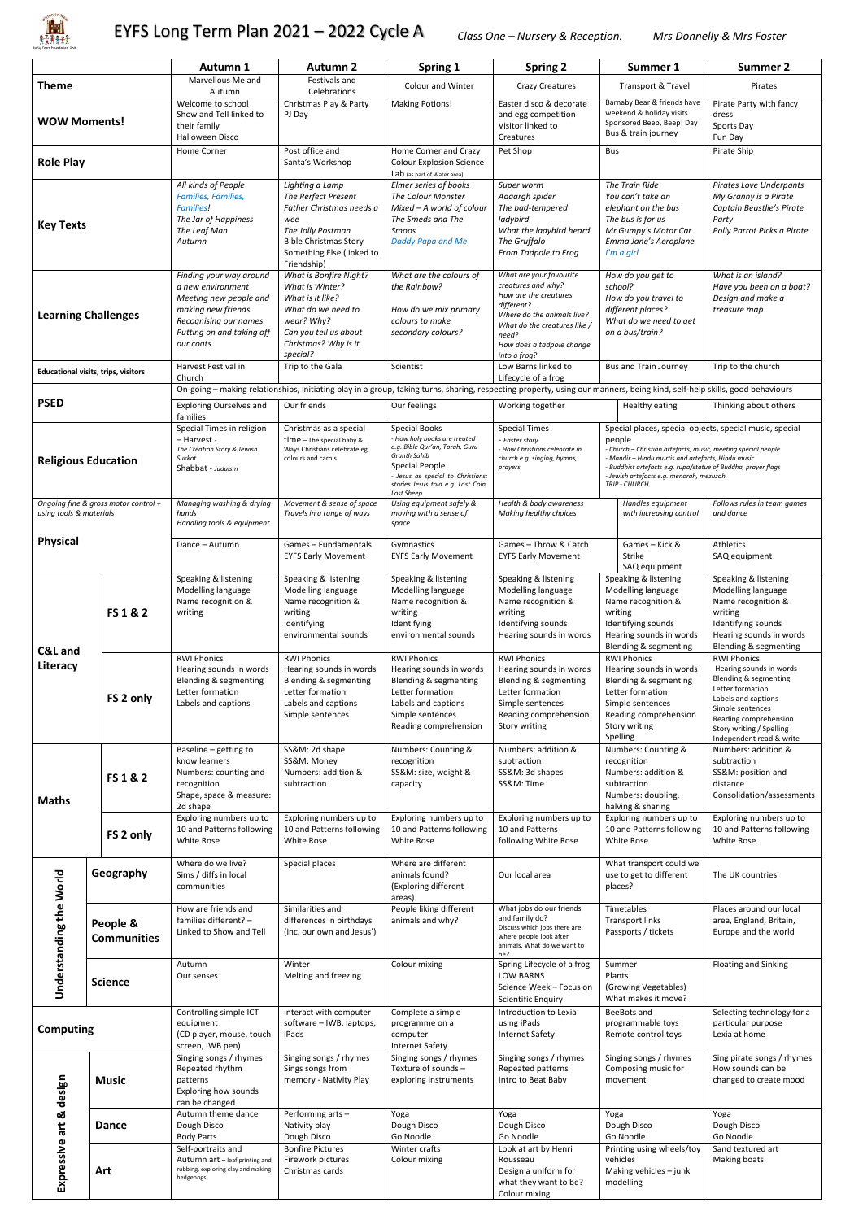

|                                                                 |                                | Autumn 1                                                                                                                                                        | <b>Autumn 2</b>                                                                                                                                                            | Spring 1                                                                                                                                                                                  | <b>Spring 2</b>                                                                                                                                                                                          | Summer 1                                                                                                                                                                                                                                                    | <b>Summer 2</b>                                                                                                                                                                                                        |
|-----------------------------------------------------------------|--------------------------------|-----------------------------------------------------------------------------------------------------------------------------------------------------------------|----------------------------------------------------------------------------------------------------------------------------------------------------------------------------|-------------------------------------------------------------------------------------------------------------------------------------------------------------------------------------------|----------------------------------------------------------------------------------------------------------------------------------------------------------------------------------------------------------|-------------------------------------------------------------------------------------------------------------------------------------------------------------------------------------------------------------------------------------------------------------|------------------------------------------------------------------------------------------------------------------------------------------------------------------------------------------------------------------------|
| Marvellous Me and<br><b>Theme</b><br>Autumn                     |                                | Festivals and<br>Celebrations                                                                                                                                   | <b>Colour and Winter</b>                                                                                                                                                   | <b>Crazy Creatures</b>                                                                                                                                                                    | Transport & Travel                                                                                                                                                                                       | Pirates                                                                                                                                                                                                                                                     |                                                                                                                                                                                                                        |
| <b>WOW Moments!</b>                                             |                                | Welcome to school<br>Show and Tell linked to<br>their family<br>Halloween Disco                                                                                 | Christmas Play & Party<br>PJ Day                                                                                                                                           | <b>Making Potions!</b>                                                                                                                                                                    | Easter disco & decorate<br>and egg competition<br>Visitor linked to<br>Creatures                                                                                                                         | Barnaby Bear & friends have<br>weekend & holiday visits<br>Sponsored Beep, Beep! Day<br>Bus & train journey                                                                                                                                                 | Pirate Party with fancy<br>dress<br>Sports Day<br>Fun Day                                                                                                                                                              |
| <b>Role Play</b>                                                |                                | Home Corner                                                                                                                                                     | Post office and<br>Santa's Workshop                                                                                                                                        | Home Corner and Crazy<br><b>Colour Explosion Science</b><br>Lab (as part of Water area)                                                                                                   | Pet Shop                                                                                                                                                                                                 | Bus                                                                                                                                                                                                                                                         | Pirate Ship                                                                                                                                                                                                            |
| <b>Key Texts</b>                                                |                                | All kinds of People<br><b>Families, Families,</b><br><b>Families!</b><br>The Jar of Happiness<br>The Leaf Man<br>Autumn                                         | Lighting a Lamp<br>The Perfect Present<br>Father Christmas needs a<br>wee<br>The Jolly Postman<br><b>Bible Christmas Story</b><br>Something Else (linked to<br>Friendship) | Elmer series of books<br>The Colour Monster<br>Mixed - A world of colour<br>The Smeds and The<br>Smoos<br>Daddy Papa and Me                                                               | Super worm<br>Aaaargh spider<br>The bad-tempered<br>ladybird<br>What the ladybird heard<br>The Gruffalo<br>From Tadpole to Frog                                                                          | The Train Ride<br>You can't take an<br>elephant on the bus<br>The bus is for us<br>Mr Gumpy's Motor Car<br>Emma Jane's Aeroplane<br>I'm a girl                                                                                                              | <b>Pirates Love Underpants</b><br>My Granny is a Pirate<br>Captain Beastlie's Pirate<br>Party<br>Polly Parrot Picks a Pirate                                                                                           |
| <b>Learning Challenges</b>                                      |                                | Finding your way around<br>a new environment<br>Meeting new people and<br>making new friends<br>Recognising our names<br>Putting on and taking off<br>our coats | What is Bonfire Night?<br>What is Winter?<br>What is it like?<br>What do we need to<br>wear? Why?<br>Can you tell us about<br>Christmas? Why is it<br>special?             | What are the colours of<br>the Rainbow?<br>How do we mix primary<br>colours to make<br>secondary colours?                                                                                 | What are your favourite<br>creatures and why?<br>How are the creatures<br>different?<br>Where do the animals live?<br>What do the creatures like /<br>need?<br>How does a tadpole change<br>into a frog? | How do you get to<br>school?<br>How do you travel to<br>different places?<br>What do we need to get<br>on a bus/train?                                                                                                                                      | What is an island?<br>Have you been on a boat?<br>Design and make a<br>treasure map                                                                                                                                    |
| <b>Educational visits, trips, visitors</b>                      |                                | Harvest Festival in<br>Church                                                                                                                                   | Trip to the Gala                                                                                                                                                           | Scientist                                                                                                                                                                                 | Low Barns linked to<br>Lifecycle of a frog                                                                                                                                                               | <b>Bus and Train Journey</b>                                                                                                                                                                                                                                | Trip to the church                                                                                                                                                                                                     |
| <b>PSED</b>                                                     |                                | <b>Exploring Ourselves and</b>                                                                                                                                  | Our friends                                                                                                                                                                | Our feelings                                                                                                                                                                              | Working together                                                                                                                                                                                         | On-going - making relationships, initiating play in a group, taking turns, sharing, respecting property, using our manners, being kind, self-help skills, good behaviours<br>Healthy eating                                                                 | Thinking about others                                                                                                                                                                                                  |
|                                                                 |                                | families<br>Special Times in religion                                                                                                                           | Christmas as a special                                                                                                                                                     | Special Books                                                                                                                                                                             | <b>Special Times</b>                                                                                                                                                                                     | Special places, special objects, special music, special                                                                                                                                                                                                     |                                                                                                                                                                                                                        |
| <b>Religious Education</b>                                      |                                | - Harvest -<br>The Creation Story & Jewish<br>Sukkot<br>Shabbat - Judaism                                                                                       | time - The special baby &<br>Ways Christians celebrate eg<br>colours and carols                                                                                            | - How holy books are treated<br>e.g. Bible Qur'an, Torah, Guru<br>Granth Sahib<br>Special People<br>- Jesus as special to Christians;<br>stories Jesus told e.g. Lost Coin,<br>Lost Sheep | - Easter story<br>- How Christians celebrate in<br>church e.g. singing, hymns,<br>prayers                                                                                                                | people<br>- Church – Christian artefacts, music, meeting special people<br>- Mandir – Hindu murtis and artefacts, Hindu music<br>- Buddhist artefacts e.g. rupa/statue of Buddha, prayer flags<br>- Jewish artefacts e.g. menorah, mezuzah<br>TRIP - CHURCH |                                                                                                                                                                                                                        |
| Ongoing fine & gross motor control +<br>using tools & materials |                                | Managing washing & drying<br>hands<br>Handling tools & equipment                                                                                                | Movement & sense of space<br>Travels in a range of ways                                                                                                                    | Using equipment safely &<br>moving with a sense of<br>space                                                                                                                               | Health & body awareness<br>Making healthy choices                                                                                                                                                        | Handles equipment<br>with increasing control                                                                                                                                                                                                                | Follows rules in team games<br>and dance                                                                                                                                                                               |
| <b>Physical</b>                                                 |                                | Dance - Autumn                                                                                                                                                  | Games-Fundamentals<br><b>EYFS Early Movement</b>                                                                                                                           | Gymnastics<br><b>EYFS Early Movement</b>                                                                                                                                                  | Games - Throw & Catch<br><b>EYFS Early Movement</b>                                                                                                                                                      | Games - Kick &<br><b>Strike</b><br>SAQ equipment                                                                                                                                                                                                            | Athletics<br>SAQ equipment                                                                                                                                                                                             |
| <b>C&amp;L</b> and<br>Literacy                                  | FS 1 & 2                       | Speaking & listening<br>Modelling language<br>Name recognition &<br>writing                                                                                     | Speaking & listening<br>Modelling language<br>Name recognition &<br>writing<br>Identifying<br>environmental sounds                                                         | Speaking & listening<br>Modelling language<br>Name recognition &<br>writing<br>Identifying<br>environmental sounds                                                                        | Speaking & listening<br>Modelling language<br>Name recognition &<br>writing<br>Identifying sounds<br>Hearing sounds in words                                                                             | Speaking & listening<br>Modelling language<br>Name recognition &<br>writing<br>Identifying sounds<br>Hearing sounds in words<br>Blending & segmenting                                                                                                       | Speaking & listening<br>Modelling language<br>Name recognition &<br>writing<br>Identifying sounds<br>Hearing sounds in words<br>Blending & segmenting                                                                  |
|                                                                 | FS 2 only                      | <b>RWI Phonics</b><br>Hearing sounds in words<br>Blending & segmenting<br>Letter formation<br>Labels and captions                                               | <b>RWI Phonics</b><br>Hearing sounds in words<br>Blending & segmenting<br>Letter formation<br>Labels and captions<br>Simple sentences                                      | <b>RWI Phonics</b><br>Hearing sounds in words<br>Blending & segmenting<br>Letter formation<br>Labels and captions<br>Simple sentences<br>Reading comprehension                            | <b>RWI Phonics</b><br>Hearing sounds in words<br>Blending & segmenting<br>Letter formation<br>Simple sentences<br>Reading comprehension<br>Story writing                                                 | <b>RWI Phonics</b><br>Hearing sounds in words<br>Blending & segmenting<br>Letter formation<br>Simple sentences<br>Reading comprehension<br>Story writing<br>Spelling                                                                                        | <b>RWI Phonics</b><br>Hearing sounds in words<br>Blending & segmenting<br>Letter formation<br>Labels and captions<br>Simple sentences<br>Reading comprehension<br>Story writing / Spelling<br>Independent read & write |
| <b>Maths</b>                                                    | FS 1 & 2                       | Baseline - getting to<br>know learners<br>Numbers: counting and<br>recognition<br>Shape, space & measure:<br>2d shape                                           | SS&M: 2d shape<br>SS&M: Money<br>Numbers: addition &<br>subtraction                                                                                                        | Numbers: Counting &<br>recognition<br>SS&M: size, weight &<br>capacity                                                                                                                    | Numbers: addition &<br>subtraction<br>SS&M: 3d shapes<br>SS&M: Time                                                                                                                                      | Numbers: Counting &<br>recognition<br>Numbers: addition &<br>subtraction<br>Numbers: doubling,<br>halving & sharing                                                                                                                                         | Numbers: addition &<br>subtraction<br>SS&M: position and<br>distance<br>Consolidation/assessments                                                                                                                      |
|                                                                 | FS 2 only                      | Exploring numbers up to<br>10 and Patterns following<br>White Rose                                                                                              | Exploring numbers up to<br>10 and Patterns following<br>White Rose                                                                                                         | Exploring numbers up to<br>10 and Patterns following<br>White Rose                                                                                                                        | Exploring numbers up to<br>10 and Patterns<br>following White Rose                                                                                                                                       | Exploring numbers up to<br>10 and Patterns following<br>White Rose                                                                                                                                                                                          | Exploring numbers up to<br>10 and Patterns following<br>White Rose                                                                                                                                                     |
| Understanding the World                                         | Geography                      | Where do we live?<br>Sims / diffs in local<br>communities                                                                                                       | Special places                                                                                                                                                             | Where are different<br>animals found?<br>(Exploring different<br>areas)                                                                                                                   | Our local area                                                                                                                                                                                           | What transport could we<br>use to get to different<br>places?                                                                                                                                                                                               | The UK countries                                                                                                                                                                                                       |
|                                                                 | People &<br><b>Communities</b> | How are friends and<br>families different? -<br>Linked to Show and Tell                                                                                         | Similarities and<br>differences in birthdays<br>(inc. our own and Jesus')                                                                                                  | People liking different<br>animals and why?                                                                                                                                               | What jobs do our friends<br>and family do?<br>Discuss which jobs there are<br>where people look after<br>animals. What do we want to<br>be?                                                              | Timetables<br><b>Transport links</b><br>Passports / tickets                                                                                                                                                                                                 | Places around our local<br>area, England, Britain,<br>Europe and the world                                                                                                                                             |
|                                                                 | <b>Science</b>                 | Autumn<br>Our senses                                                                                                                                            | Winter<br>Melting and freezing                                                                                                                                             | Colour mixing                                                                                                                                                                             | Spring Lifecycle of a frog<br><b>LOW BARNS</b><br>Science Week - Focus on<br><b>Scientific Enquiry</b>                                                                                                   | Summer<br>Plants<br>(Growing Vegetables)<br>What makes it move?                                                                                                                                                                                             | <b>Floating and Sinking</b>                                                                                                                                                                                            |
| <b>Computing</b>                                                |                                | Controlling simple ICT<br>equipment<br>(CD player, mouse, touch<br>screen, IWB pen)                                                                             | Interact with computer<br>software - IWB, laptops,<br>iPads                                                                                                                | Complete a simple<br>programme on a<br>computer<br><b>Internet Safety</b>                                                                                                                 | Introduction to Lexia<br>using iPads<br><b>Internet Safety</b>                                                                                                                                           | BeeBots and<br>programmable toys<br>Remote control toys                                                                                                                                                                                                     | Selecting technology for a<br>particular purpose<br>Lexia at home                                                                                                                                                      |
| design                                                          | <b>Music</b>                   | Singing songs / rhymes<br>Repeated rhythm<br>patterns<br>Exploring how sounds<br>can be changed                                                                 | Singing songs / rhymes<br>Sings songs from<br>memory - Nativity Play                                                                                                       | Singing songs / rhymes<br>Texture of sounds -<br>exploring instruments                                                                                                                    | Singing songs / rhymes<br>Repeated patterns<br>Intro to Beat Baby                                                                                                                                        | Singing songs / rhymes<br>Composing music for<br>movement                                                                                                                                                                                                   | Sing pirate songs / rhymes<br>How sounds can be<br>changed to create mood                                                                                                                                              |
| Expressive art &                                                | <b>Dance</b>                   | Autumn theme dance<br>Dough Disco<br><b>Body Parts</b><br>Self-portraits and<br>Autumn art - leaf printing and                                                  | Performing arts-<br>Nativity play<br>Dough Disco<br><b>Bonfire Pictures</b><br>Firework pictures                                                                           | Yoga<br>Dough Disco<br>Go Noodle<br>Winter crafts<br>Colour mixing                                                                                                                        | Yoga<br>Dough Disco<br>Go Noodle<br>Look at art by Henri<br>Rousseau                                                                                                                                     | Yoga<br>Dough Disco<br>Go Noodle<br>Printing using wheels/toy<br>vehicles                                                                                                                                                                                   | Yoga<br>Dough Disco<br>Go Noodle<br>Sand textured art<br>Making boats                                                                                                                                                  |
|                                                                 | Art                            | rubbing, exploring clay and making<br>hedgehogs                                                                                                                 | Christmas cards                                                                                                                                                            |                                                                                                                                                                                           | Design a uniform for<br>what they want to be?<br>Colour mixing                                                                                                                                           | Making vehicles - junk<br>modelling                                                                                                                                                                                                                         |                                                                                                                                                                                                                        |